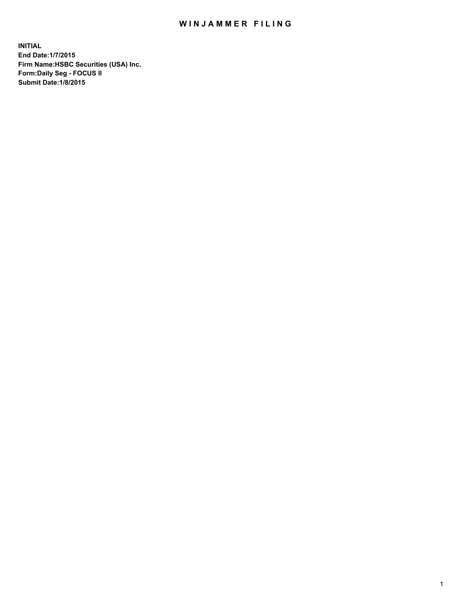## WIN JAMMER FILING

**INITIAL End Date:1/7/2015 Firm Name:HSBC Securities (USA) Inc. Form:Daily Seg - FOCUS II Submit Date:1/8/2015**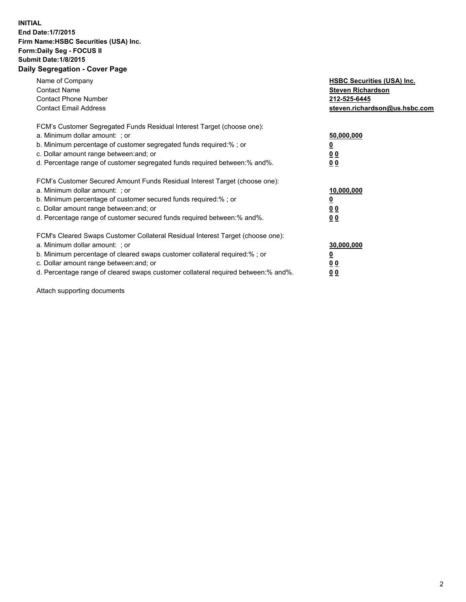## **INITIAL End Date:1/7/2015 Firm Name:HSBC Securities (USA) Inc. Form:Daily Seg - FOCUS II Submit Date:1/8/2015 Daily Segregation - Cover Page**

| Name of Company<br><b>Contact Name</b><br><b>Contact Phone Number</b><br><b>Contact Email Address</b>                                                                                                                                                                                                                         | <b>HSBC Securities (USA) Inc.</b><br><b>Steven Richardson</b><br>212-525-6445<br>steven.richardson@us.hsbc.com |
|-------------------------------------------------------------------------------------------------------------------------------------------------------------------------------------------------------------------------------------------------------------------------------------------------------------------------------|----------------------------------------------------------------------------------------------------------------|
| FCM's Customer Segregated Funds Residual Interest Target (choose one):<br>a. Minimum dollar amount: ; or<br>b. Minimum percentage of customer segregated funds required:%; or<br>c. Dollar amount range between: and; or<br>d. Percentage range of customer segregated funds required between: % and %.                       | 50,000,000<br><u>0</u><br>0 <sub>0</sub><br>0 <sub>0</sub>                                                     |
| FCM's Customer Secured Amount Funds Residual Interest Target (choose one):<br>a. Minimum dollar amount: ; or<br>b. Minimum percentage of customer secured funds required:%; or<br>c. Dollar amount range between: and; or<br>d. Percentage range of customer secured funds required between: % and %.                         | 10,000,000<br>0 <sub>0</sub><br>0 <sub>0</sub>                                                                 |
| FCM's Cleared Swaps Customer Collateral Residual Interest Target (choose one):<br>a. Minimum dollar amount: ; or<br>b. Minimum percentage of cleared swaps customer collateral required:%; or<br>c. Dollar amount range between: and; or<br>d. Percentage range of cleared swaps customer collateral required between:% and%. | 30,000,000<br><u>0</u><br>00<br><u>00</u>                                                                      |

Attach supporting documents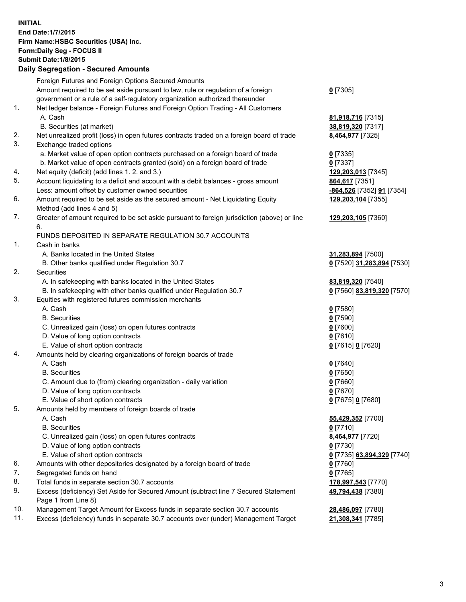**INITIAL End Date:1/7/2015 Firm Name:HSBC Securities (USA) Inc. Form:Daily Seg - FOCUS II Submit Date:1/8/2015 Daily Segregation - Secured Amounts** Foreign Futures and Foreign Options Secured Amounts Amount required to be set aside pursuant to law, rule or regulation of a foreign government or a rule of a self-regulatory organization authorized thereunder 1. Net ledger balance - Foreign Futures and Foreign Option Trading - All Customers A. Cash **81,918,716** [7315] B. Securities (at market) **38,819,320** [7317] 2. Net unrealized profit (loss) in open futures contracts traded on a foreign board of trade **8,464,977** [7325] 3. Exchange traded options a. Market value of open option contracts purchased on a foreign board of trade **0** [7335] b. Market value of open contracts granted (sold) on a foreign board of trade **0** [7337] 4. Net equity (deficit) (add lines 1. 2. and 3.) **129,203,013** [7345] 5. Account liquidating to a deficit and account with a debit balances - gross amount **864,617** [7351] Less: amount offset by customer owned securities **-864,526** [7352] **91** [7354] 6. Amount required to be set aside as the secured amount - Net Liquidating Equity Method (add lines 4 and 5) 7. Greater of amount required to be set aside pursuant to foreign jurisdiction (above) or line 6. FUNDS DEPOSITED IN SEPARATE REGULATION 30.7 ACCOUNTS 1. Cash in banks A. Banks located in the United States **31,283,894** [7500] B. Other banks qualified under Regulation 30.7 **0** [7520] **31,283,894** [7530] 2. Securities A. In safekeeping with banks located in the United States **83,819,320** [7540] B. In safekeeping with other banks qualified under Regulation 30.7 **0** [7560] **83,819,320** [7570] 3. Equities with registered futures commission merchants A. Cash **0** [7580] B. Securities **0** [7590] C. Unrealized gain (loss) on open futures contracts **0** [7600] D. Value of long option contracts **0** [7610] E. Value of short option contracts **0** [7615] **0** [7620] 4. Amounts held by clearing organizations of foreign boards of trade A. Cash **0** [7640] B. Securities **0** [7650] C. Amount due to (from) clearing organization - daily variation **0** [7660]

- D. Value of long option contracts **0** [7670]
- E. Value of short option contracts **0** [7675] **0** [7680]
- 5. Amounts held by members of foreign boards of trade
	- A. Cash **55,429,352** [7700]
	- B. Securities **0** [7710]
	- C. Unrealized gain (loss) on open futures contracts **8,464,977** [7720]
	- D. Value of long option contracts **0** [7730]
	- E. Value of short option contracts **0** [7735] **63,894,329** [7740]
- 6. Amounts with other depositories designated by a foreign board of trade **0** [7760]
- 7. Segregated funds on hand **0** [7765]
- 8. Total funds in separate section 30.7 accounts **178,997,543** [7770]
- 9. Excess (deficiency) Set Aside for Secured Amount (subtract line 7 Secured Statement Page 1 from Line 8)
- 10. Management Target Amount for Excess funds in separate section 30.7 accounts **28,486,097** [7780]
- 11. Excess (deficiency) funds in separate 30.7 accounts over (under) Management Target **21,308,341** [7785]

**0** [7305]

**129,203,104** [7355]

**129,203,105** [7360]

**49,794,438** [7380]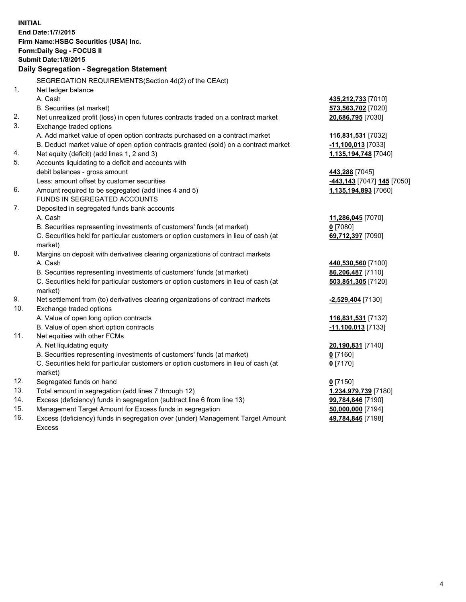| <b>INITIAL</b> | End Date: 1/7/2015<br>Firm Name: HSBC Securities (USA) Inc.<br>Form: Daily Seg - FOCUS II<br><b>Submit Date: 1/8/2015</b><br>Daily Segregation - Segregation Statement |                            |
|----------------|------------------------------------------------------------------------------------------------------------------------------------------------------------------------|----------------------------|
|                |                                                                                                                                                                        |                            |
|                | SEGREGATION REQUIREMENTS(Section 4d(2) of the CEAct)                                                                                                                   |                            |
| 1.             | Net ledger balance                                                                                                                                                     |                            |
|                | A. Cash                                                                                                                                                                | 435,212,733 [7010]         |
|                | B. Securities (at market)                                                                                                                                              | 573,563,702 [7020]         |
| 2.<br>3.       | Net unrealized profit (loss) in open futures contracts traded on a contract market<br>Exchange traded options                                                          | 20,686,795 [7030]          |
|                | A. Add market value of open option contracts purchased on a contract market                                                                                            | 116,831,531 [7032]         |
|                | B. Deduct market value of open option contracts granted (sold) on a contract market                                                                                    | $-11,100,013$ [7033]       |
| 4.             | Net equity (deficit) (add lines 1, 2 and 3)                                                                                                                            | 1,135,194,748 [7040]       |
| 5.             | Accounts liquidating to a deficit and accounts with                                                                                                                    |                            |
|                | debit balances - gross amount                                                                                                                                          | 443,288 [7045]             |
|                | Less: amount offset by customer securities                                                                                                                             | -443,143 [7047] 145 [7050] |
| 6.             | Amount required to be segregated (add lines 4 and 5)                                                                                                                   | 1,135,194,893 [7060]       |
|                | FUNDS IN SEGREGATED ACCOUNTS                                                                                                                                           |                            |
| 7.             | Deposited in segregated funds bank accounts                                                                                                                            |                            |
|                | A. Cash                                                                                                                                                                | 11,286,045 [7070]          |
|                | B. Securities representing investments of customers' funds (at market)                                                                                                 | $0$ [7080]                 |
|                | C. Securities held for particular customers or option customers in lieu of cash (at<br>market)                                                                         | 69,712,397 [7090]          |
| 8.             | Margins on deposit with derivatives clearing organizations of contract markets                                                                                         |                            |
|                | A. Cash                                                                                                                                                                | 440,530,560 [7100]         |
|                | B. Securities representing investments of customers' funds (at market)                                                                                                 | 86,206,487 [7110]          |
|                | C. Securities held for particular customers or option customers in lieu of cash (at                                                                                    | 503,851,305 [7120]         |
|                | market)                                                                                                                                                                |                            |
| 9.             | Net settlement from (to) derivatives clearing organizations of contract markets                                                                                        | -2,529,404 [7130]          |
| 10.            | Exchange traded options                                                                                                                                                |                            |
|                | A. Value of open long option contracts                                                                                                                                 | 116,831,531 [7132]         |
|                | B. Value of open short option contracts                                                                                                                                | $-11,100,013$ [7133]       |
| 11.            | Net equities with other FCMs                                                                                                                                           |                            |
|                | A. Net liquidating equity                                                                                                                                              | 20,190,831 [7140]          |
|                | B. Securities representing investments of customers' funds (at market)                                                                                                 | 0 [7160]                   |
|                | C. Securities held for particular customers or option customers in lieu of cash (at<br>market)                                                                         | $0$ [7170]                 |
| 12.            | Segregated funds on hand                                                                                                                                               | $0$ [7150]                 |
| 13.            | Total amount in segregation (add lines 7 through 12)                                                                                                                   | 1,234,979,739 [7180]       |
| 14.            | Excess (deficiency) funds in segregation (subtract line 6 from line 13)                                                                                                | 99,784,846 [7190]          |
| 15.            | Management Target Amount for Excess funds in segregation                                                                                                               | 50,000,000 [7194]          |
| 16.            | Excess (deficiency) funds in segregation over (under) Management Target Amount                                                                                         | 49,784,846 [7198]          |

16. Excess (deficiency) funds in segregation over (under) Management Target Amount Excess